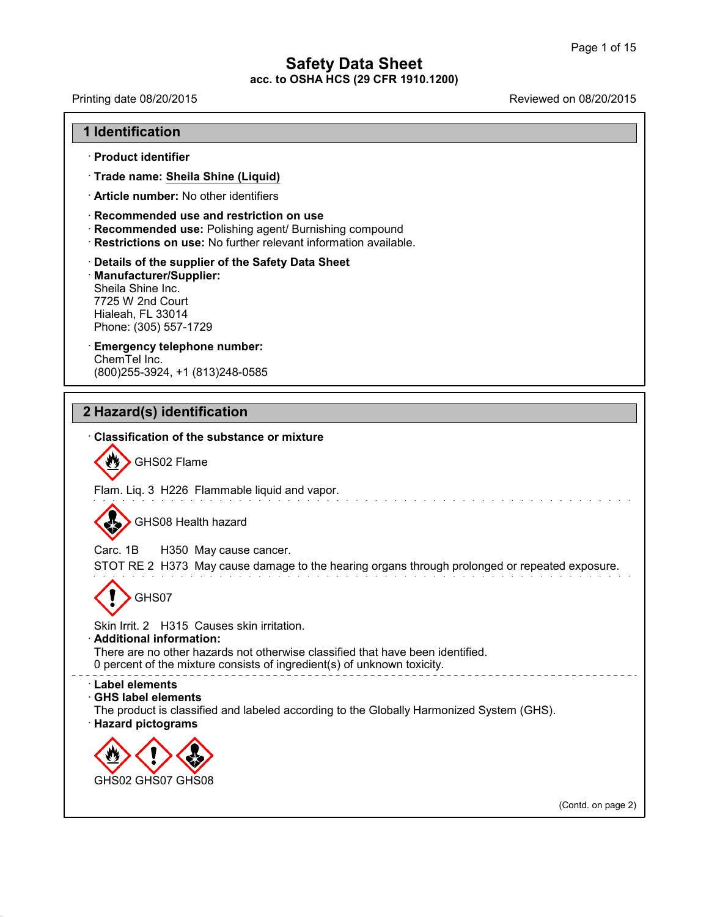# **Safety Data Sheet acc. to OSHA HCS (29 CFR 1910.1200)**

41.1.0

Printing date 08/20/2015 Printing date 08/20/2015

| 1 Identification                                                                                                                                                                                                                          |
|-------------------------------------------------------------------------------------------------------------------------------------------------------------------------------------------------------------------------------------------|
| · Product identifier                                                                                                                                                                                                                      |
| · Trade name: Sheila Shine (Liquid)                                                                                                                                                                                                       |
| · Article number: No other identifiers                                                                                                                                                                                                    |
| Recommended use and restriction on use<br>· Recommended use: Polishing agent/ Burnishing compound<br>· Restrictions on use: No further relevant information available.                                                                    |
| Details of the supplier of the Safety Data Sheet<br><b>Manufacturer/Supplier:</b><br>Sheila Shine Inc.<br>7725 W 2nd Court<br>Hialeah, FL 33014<br>Phone: (305) 557-1729                                                                  |
| <b>Emergency telephone number:</b><br>ChemTel Inc.<br>(800) 255-3924, +1 (813) 248-0585                                                                                                                                                   |
| 2 Hazard(s) identification                                                                                                                                                                                                                |
| <b>Classification of the substance or mixture</b>                                                                                                                                                                                         |
| GHS02 Flame                                                                                                                                                                                                                               |
| Flam. Liq. 3 H226 Flammable liquid and vapor.                                                                                                                                                                                             |
| GHS08 Health hazard                                                                                                                                                                                                                       |
| Carc. 1B<br>H350 May cause cancer.<br>STOT RE 2 H373 May cause damage to the hearing organs through prolonged or repeated exposure.                                                                                                       |
| GHS07                                                                                                                                                                                                                                     |
| Skin Irrit. 2 H315 Causes skin irritation.<br><b>Additional information:</b><br>There are no other hazards not otherwise classified that have been identified.<br>0 percent of the mixture consists of ingredient(s) of unknown toxicity. |
| <b>Label elements</b><br><b>GHS label elements</b><br>The product is classified and labeled according to the Globally Harmonized System (GHS).<br>· Hazard pictograms                                                                     |
| GHS02 GHS07 GHS08                                                                                                                                                                                                                         |

(Contd. on page 2)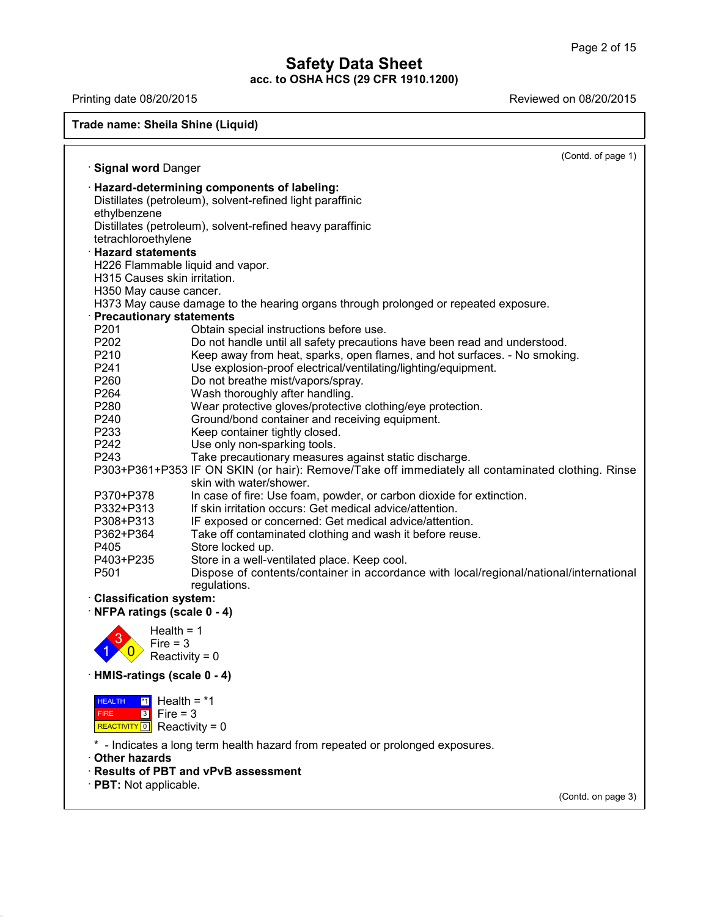Printing date 08/20/2015 Reviewed on 08/20/2015

41.1.0

**Trade name: Sheila Shine (Liquid)**

(Contd. of page 1) · **Signal word** Danger · **Hazard-determining components of labeling:** Distillates (petroleum), solvent-refined light paraffinic ethylbenzene Distillates (petroleum), solvent-refined heavy paraffinic tetrachloroethylene · **Hazard statements** H226 Flammable liquid and vapor. H315 Causes skin irritation. H350 May cause cancer. H373 May cause damage to the hearing organs through prolonged or repeated exposure. · **Precautionary statements** P201 **Detain special instructions before use.**<br>P202 Do not handle until all safety precaution P202 Do not handle until all safety precautions have been read and understood.<br>P210 Reep away from heat, sparks, open flames, and hot surfaces, - No smokin Keep away from heat, sparks, open flames, and hot surfaces. - No smoking. P241 Use explosion-proof electrical/ventilating/lighting/equipment.<br>P260 Do not breathe mist/vapors/spray. P260 Do not breathe mist/vapors/spray.<br>P264 Wash thoroughly after handling. P264 Wash thoroughly after handling.<br>P280 Wear protective gloves/protective P280 Wear protective gloves/protective clothing/eye protection.<br>P240 Ground/bond container and receiving equipment. P240 Ground/bond container and receiving equipment. P233 Keep container tightly closed.<br>P242 Use only non-sparking tools. P242 Use only non-sparking tools.<br>
P243 Take precautionary measure Take precautionary measures against static discharge. P303+P361+P353 IF ON SKIN (or hair): Remove/Take off immediately all contaminated clothing. Rinse skin with water/shower. P370+P378 In case of fire: Use foam, powder, or carbon dioxide for extinction.<br>P332+P313 If skin irritation occurs: Get medical advice/attention. P332+P313 If skin irritation occurs: Get medical advice/attention.<br>P308+P313 IF exposed or concerned: Get medical advice/attention P308+P313 IF exposed or concerned: Get medical advice/attention. Take off contaminated clothing and wash it before reuse. P405 Store locked up.<br>P403+P235 Store in a well-ve P403+P235 Store in a well-ventilated place. Keep cool.<br>P501 Dispose of contents/container in accordar Dispose of contents/container in accordance with local/regional/national/international regulations. · **Classification system:** · **NFPA ratings (scale 0 - 4)**  $\overline{1 \times 0}$  Reactivity = 0  $3 \times 10^{10}$  Fire = 3  $Health = 1$ · **HMIS-ratings (scale 0 - 4) HEALTH** <sup>\*1</sup> Hea FIRE REACTIVITY <sup>0</sup> Health <sup>=</sup> \*1 Reactivity = 0 3 Fire = 3 \* - Indicates a long term health hazard from repeated or prolonged exposures. · **Other hazards** · **Results of PBT and vPvB assessment** · **PBT:** Not applicable.

(Contd. on page 3)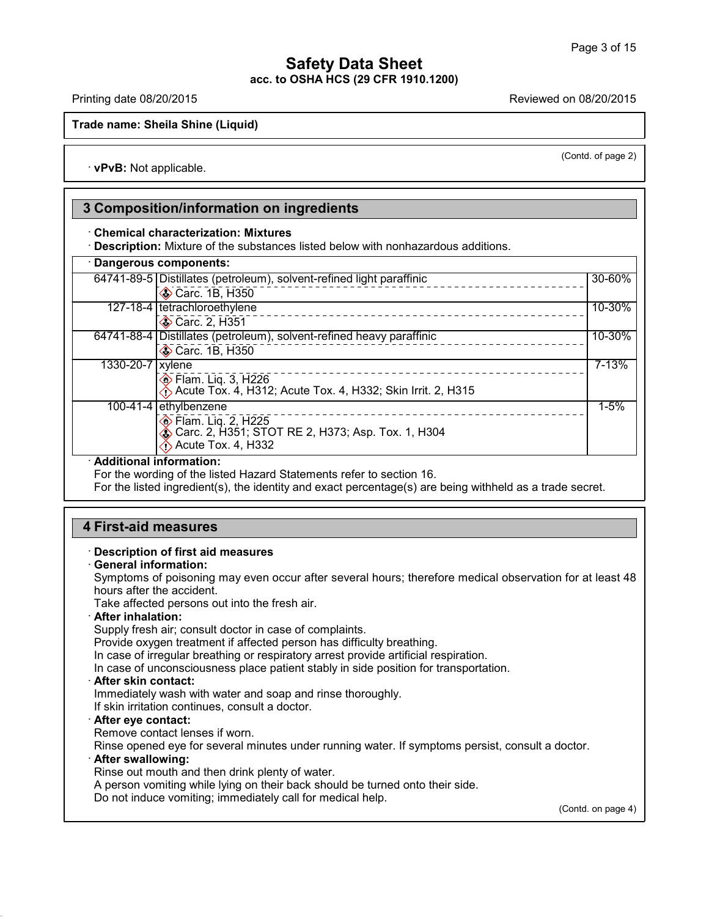(Contd. of page 2)

## **Safety Data Sheet acc. to OSHA HCS (29 CFR 1910.1200)**

Printing date 08/20/2015 Reviewed on 08/20/2015

**Trade name: Sheila Shine (Liquid)**

· **vPvB:** Not applicable.

## **3 Composition/information on ingredients**

### · **Chemical characterization: Mixtures**

· **Description:** Mixture of the substances listed below with nonhazardous additions.

|                  | Dangerous components:                                                     |          |
|------------------|---------------------------------------------------------------------------|----------|
|                  | 64741-89-5 Distillates (petroleum), solvent-refined light paraffinic      | 30-60%   |
|                  | Carc. 1B, H350                                                            |          |
|                  | 127-18-4   tetrachloroethylene                                            | 10-30%   |
|                  | Carc. 2, H351                                                             |          |
|                  | 64741-88-4 Distillates (petroleum), solvent-refined heavy paraffinic      | 10-30%   |
|                  | Carc. 1B, H350                                                            |          |
| 1330-20-7 xylene |                                                                           | 7-13%    |
|                  | <b>Elam.</b> Liq. 3, H226                                                 |          |
|                  | Acute Tox. 4, H312; Acute Tox. 4, H332; Skin Irrit. 2, H315               |          |
|                  | 100-41-4 ethylbenzene                                                     | $1 - 5%$ |
|                  | <b>♦ Flam. Lig. 2, H225</b>                                               |          |
|                  | ♦ Carc. 2, H351; STOT RE 2, H373; Asp. Tox. 1, H304<br>Acute Tox. 4, H332 |          |
| .                |                                                                           |          |

### · **Additional information:**

For the wording of the listed Hazard Statements refer to section 16.

For the listed ingredient(s), the identity and exact percentage(s) are being withheld as a trade secret.

## **4 First-aid measures**

### · **Description of first aid measures**

### · **General information:**

Symptoms of poisoning may even occur after several hours; therefore medical observation for at least 48 hours after the accident.

Take affected persons out into the fresh air.

### · **After inhalation:**

Supply fresh air; consult doctor in case of complaints.

Provide oxygen treatment if affected person has difficulty breathing.

In case of irregular breathing or respiratory arrest provide artificial respiration.

In case of unconsciousness place patient stably in side position for transportation.

### · **After skin contact:**

Immediately wash with water and soap and rinse thoroughly.

If skin irritation continues, consult a doctor.

## · **After eye contact:**

Remove contact lenses if worn.

Rinse opened eye for several minutes under running water. If symptoms persist, consult a doctor.

### · **After swallowing:**

41.1.0

Rinse out mouth and then drink plenty of water.

A person vomiting while lying on their back should be turned onto their side.

Do not induce vomiting; immediately call for medical help.

(Contd. on page 4)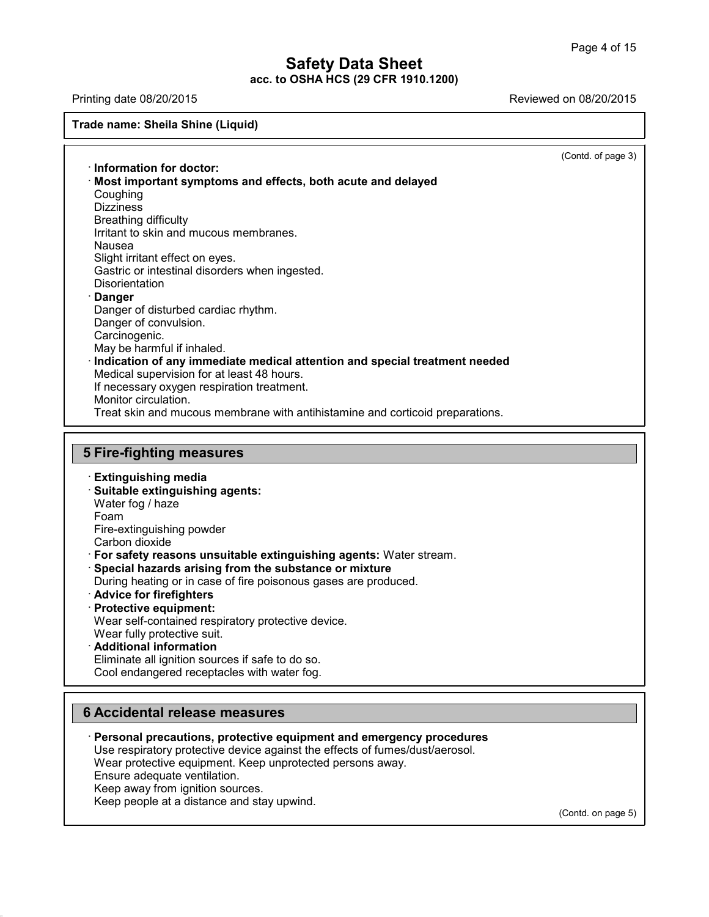# **Safety Data Sheet**

**acc. to OSHA HCS (29 CFR 1910.1200)**

Printing date 08/20/2015 Reviewed on 08/20/2015

**Trade name: Sheila Shine (Liquid)**

(Contd. of page 3)

· **Information fordoctor:** · **Most important symptoms and effects, both acute and delayed** Coughing **Dizziness** Breathing difficulty Irritant to skin and mucous membranes. Nausea Slight irritant effect on eyes. Gastric or intestinal disorders when ingested. **Disorientation** · **Danger** Danger of disturbed cardiac rhythm. Danger of convulsion. Carcinogenic. May be harmful if inhaled. · **Indication of any immediate medical attention and special treatment needed** Medical supervision for at least 48 hours. If necessary oxygen respiration treatment. Monitor circulation. Treat skin and mucous membrane with antihistamine and corticoid preparations.

## **5 Fire-fighting measures**

· **Extinguishing media**

· **Suitable extinguishing agents:** Water fog / haze Foam Fire-extinguishing powder Carbon dioxide · **For safety reasons unsuitable extinguishing agents:** Water stream. · **Special hazards arising from the substance or mixture** During heating or in case of fire poisonous gases are produced. · **Advice for firefighters** · **Protective equipment:**

Wear self-contained respiratory protective device.

- Wear fully protective suit.
- · **Additional information** Eliminate all ignition sources if safe to do so.

Cool endangered receptacles with water fog.

# **6 Accidental release measures**

· **Personal precautions, protective equipment and emergency procedures**

Use respiratory protective device against the effects of fumes/dust/aerosol.

Wear protective equipment. Keep unprotected persons away.

Ensure adequate ventilation.

41.1.0

Keep away from ignition sources.

Keep people at a distance and stay upwind.

(Contd. on page 5)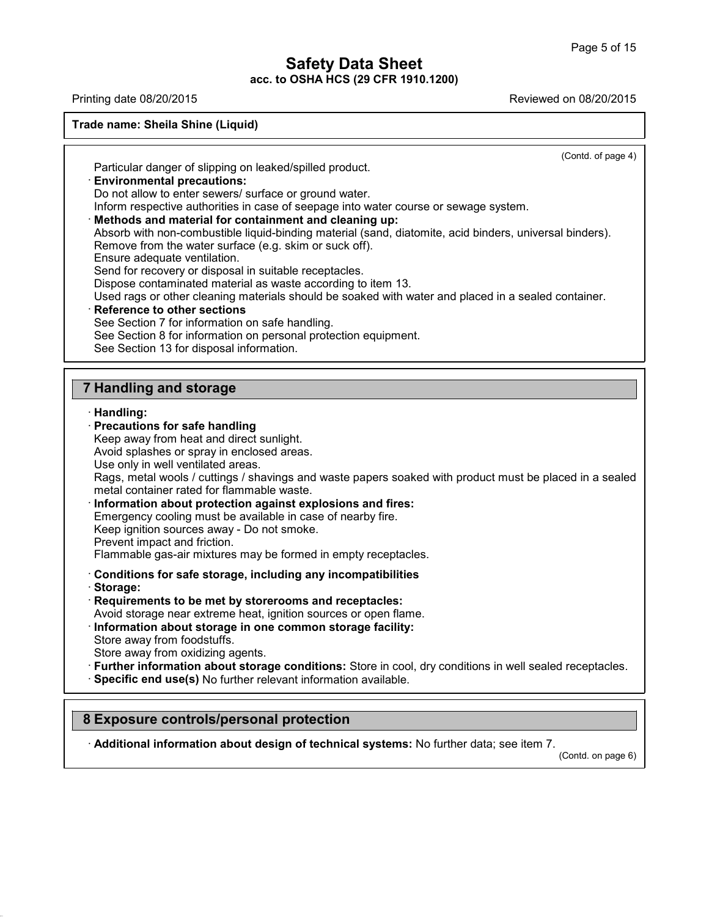Printing date 08/20/2015 Reviewed on 08/20/2015

**Trade name: Sheila Shine (Liquid)**

(Contd. of page 4)

Particular danger of slipping on leaked/spilled product.

· **Environmental precautions:**

Do not allow to enter sewers/ surface or ground water.

Inform respective authorities in case of seepage into water course or sewage system.

### · **Methods and material for containment and cleaning up:**

Absorb with non-combustible liquid-binding material (sand, diatomite, acid binders, universal binders). Remove from the water surface (e.g. skim or suck off).

Ensure adequate ventilation.

Send for recovery or disposal in suitable receptacles.

Dispose contaminated material as waste according to item 13.

Used rags or other cleaning materials should be soaked with water and placed in a sealed container.

### · **Reference to other sections**

See Section 7 for information on safe handling.

See Section 8 for information on personal protection equipment.

See Section 13 for disposal information.

# **7 Handling and storage**

### · **Handling:**

41.1.0

- · **Precautions for safe handling** Keep away from heat and direct sunlight. Avoid splashes or spray in enclosed areas. Use only in well ventilated areas. Rags, metal wools / cuttings / shavings and waste papers soaked with product must be placed in a sealed metal container rated for flammable waste. · **Information about protection against explosions and fires:** Emergency cooling must be available in case of nearby fire. Keep ignition sources away - Do not smoke. Prevent impact and friction. Flammable gas-air mixtures may be formed in empty receptacles. · **Conditions for safe storage, including any incompatibilities** · **Storage:** · **Requirements to be met by storerooms and receptacles:** Avoid storage near extreme heat, ignition sources or open flame.
- · **Information about storage in one common storage facility:** Store away from foodstuffs.
- Store away from oxidizing agents.
- · **Further information about storage conditions:** Store in cool, dry conditions in well sealed receptacles.
- · **Specific end use(s)** No further relevant information available.

# **8 Exposure controls/personal protection**

· **Additional information about design of technical systems:** No further data; see item 7.

(Contd. on page 6)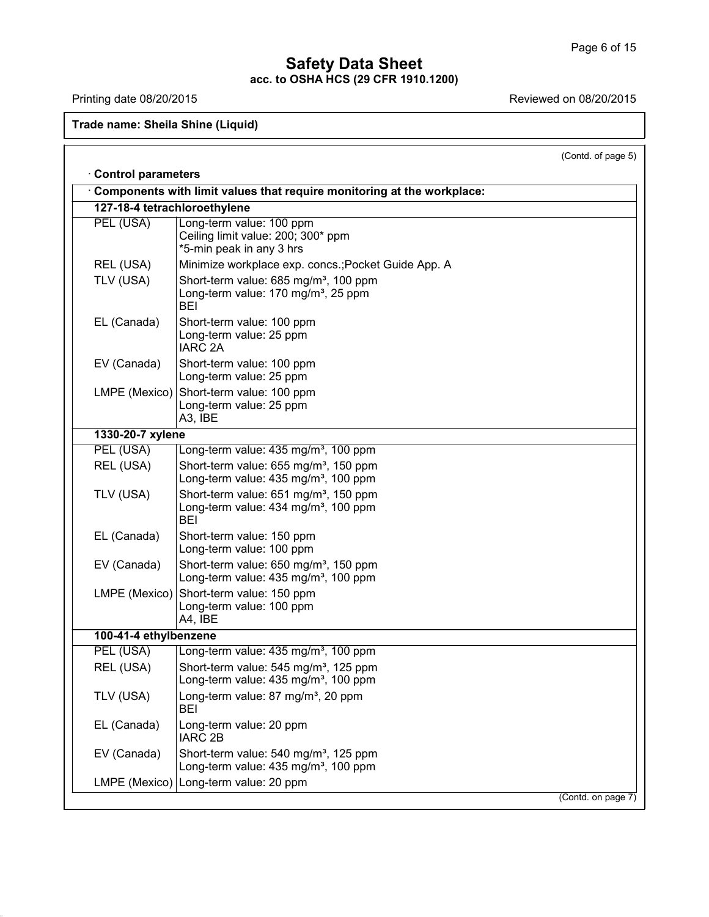(Contd. of page 5)

# **Safety Data Sheet acc. to OSHA HCS (29 CFR 1910.1200)**

Printing date 08/20/2015 Reviewed on 08/20/2015

**Trade name: Sheila Shine (Liquid)**

**127-18-4 tetrachloroethylene**

PEL (USA) | Long-term value: 100 ppm

· **Control parameters**

41.1.0

· **Components with limit values that require monitoring at the workplace:**

Ceiling limit value: 200; 300\* ppm \*5-min peak in any 3 hrs REL (USA) Minimize workplace exp. concs.; Pocket Guide App. A TLV (USA) Short-term value: 685 mg/m<sup>3</sup>, 100 ppm Long-term value: 170 mg/m<sup>3</sup>, 25 ppm BEI EL (Canada) Short-term value: 100 ppm Long-term value: 25 ppm IARC 2A

|                       | IARC <sub>2A</sub>                                                                                                  |
|-----------------------|---------------------------------------------------------------------------------------------------------------------|
| EV (Canada)           | Short-term value: 100 ppm<br>Long-term value: 25 ppm                                                                |
|                       | LMPE (Mexico) Short-term value: 100 ppm<br>Long-term value: 25 ppm<br>A3, IBE                                       |
| 1330-20-7 xylene      |                                                                                                                     |
| PEL (USA)             | Long-term value: 435 mg/m <sup>3</sup> , 100 ppm                                                                    |
| REL (USA)             | Short-term value: 655 mg/m <sup>3</sup> , 150 ppm<br>Long-term value: 435 mg/m <sup>3</sup> , 100 ppm               |
| TLV (USA)             | Short-term value: 651 mg/m <sup>3</sup> , 150 ppm<br>Long-term value: 434 mg/m <sup>3</sup> , 100 ppm<br><b>BEI</b> |
| EL (Canada)           | Short-term value: 150 ppm<br>Long-term value: 100 ppm                                                               |
| EV (Canada)           | Short-term value: 650 mg/m <sup>3</sup> , 150 ppm<br>Long-term value: 435 mg/m <sup>3</sup> , 100 ppm               |
| LMPE (Mexico)         | Short-term value: 150 ppm<br>Long-term value: 100 ppm<br>A4, IBE                                                    |
| 100-41-4 ethylbenzene |                                                                                                                     |
| PEL (USA)             | Long-term value: 435 mg/m <sup>3</sup> , 100 ppm                                                                    |
| REL (USA)             | Short-term value: 545 mg/m <sup>3</sup> , 125 ppm<br>Long-term value: 435 mg/m <sup>3</sup> , 100 ppm               |
| TLV (USA)             | Long-term value: 87 mg/m <sup>3</sup> , 20 ppm<br>BEI                                                               |
| EL (Canada)           | Long-term value: 20 ppm<br><b>IARC 2B</b>                                                                           |
| EV (Canada)           | Short-term value: 540 mg/m <sup>3</sup> , 125 ppm<br>Long-term value: 435 mg/m <sup>3</sup> , 100 ppm               |
|                       | LMPE (Mexico) Long-term value: 20 ppm                                                                               |
|                       | (Contd. on page 7)                                                                                                  |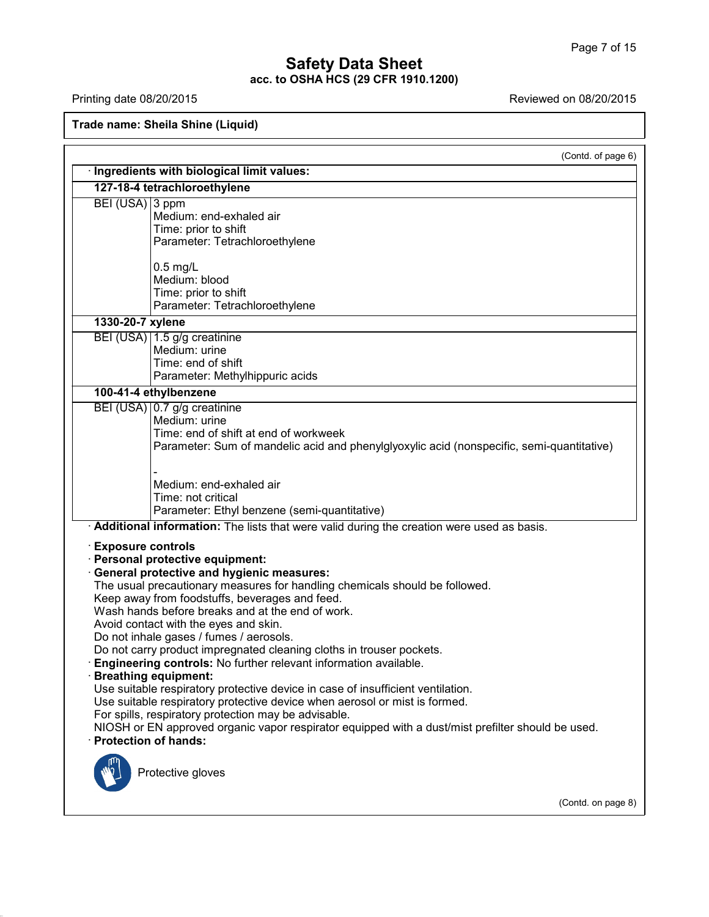Printing date 08/20/2015 Printing date 08/20/2015

41.1.0

**Trade name: Sheila Shine (Liquid)**

|                          | (Contd. of page 6)<br>Ingredients with biological limit values:                                                                                                                                                                                                                                                                                                                                                                                                                                                                                                                                                                                                                                                                                                                                                                                              |                    |
|--------------------------|--------------------------------------------------------------------------------------------------------------------------------------------------------------------------------------------------------------------------------------------------------------------------------------------------------------------------------------------------------------------------------------------------------------------------------------------------------------------------------------------------------------------------------------------------------------------------------------------------------------------------------------------------------------------------------------------------------------------------------------------------------------------------------------------------------------------------------------------------------------|--------------------|
|                          | 127-18-4 tetrachloroethylene                                                                                                                                                                                                                                                                                                                                                                                                                                                                                                                                                                                                                                                                                                                                                                                                                                 |                    |
| BEI (USA) 3 ppm          | Medium: end-exhaled air<br>Time: prior to shift<br>Parameter: Tetrachloroethylene                                                                                                                                                                                                                                                                                                                                                                                                                                                                                                                                                                                                                                                                                                                                                                            |                    |
|                          | $0.5$ mg/L<br>Medium: blood<br>Time: prior to shift<br>Parameter: Tetrachloroethylene                                                                                                                                                                                                                                                                                                                                                                                                                                                                                                                                                                                                                                                                                                                                                                        |                    |
| 1330-20-7 xylene         |                                                                                                                                                                                                                                                                                                                                                                                                                                                                                                                                                                                                                                                                                                                                                                                                                                                              |                    |
|                          | BEI (USA)   1.5 g/g creatinine<br>Medium: urine<br>Time: end of shift<br>Parameter: Methylhippuric acids                                                                                                                                                                                                                                                                                                                                                                                                                                                                                                                                                                                                                                                                                                                                                     |                    |
|                          | 100-41-4 ethylbenzene                                                                                                                                                                                                                                                                                                                                                                                                                                                                                                                                                                                                                                                                                                                                                                                                                                        |                    |
|                          | BEI (USA) 0.7 g/g creatinine<br>Medium: urine<br>Time: end of shift at end of workweek<br>Parameter: Sum of mandelic acid and phenylglyoxylic acid (nonspecific, semi-quantitative)                                                                                                                                                                                                                                                                                                                                                                                                                                                                                                                                                                                                                                                                          |                    |
|                          | Medium: end-exhaled air<br>Time: not critical<br>Parameter: Ethyl benzene (semi-quantitative)                                                                                                                                                                                                                                                                                                                                                                                                                                                                                                                                                                                                                                                                                                                                                                |                    |
| <b>Exposure controls</b> | Additional information: The lists that were valid during the creation were used as basis.<br>Personal protective equipment:<br><b>General protective and hygienic measures:</b><br>The usual precautionary measures for handling chemicals should be followed.<br>Keep away from foodstuffs, beverages and feed.<br>Wash hands before breaks and at the end of work.<br>Avoid contact with the eyes and skin.<br>Do not inhale gases / fumes / aerosols.<br>Do not carry product impregnated cleaning cloths in trouser pockets.<br>Engineering controls: No further relevant information available.<br><b>Breathing equipment:</b><br>Use suitable respiratory protective device in case of insufficient ventilation.<br>Use suitable respiratory protective device when aerosol or mist is formed.<br>For spills, respiratory protection may be advisable. |                    |
|                          | NIOSH or EN approved organic vapor respirator equipped with a dust/mist prefilter should be used.<br>· Protection of hands:<br>Protective gloves                                                                                                                                                                                                                                                                                                                                                                                                                                                                                                                                                                                                                                                                                                             |                    |
|                          |                                                                                                                                                                                                                                                                                                                                                                                                                                                                                                                                                                                                                                                                                                                                                                                                                                                              | (Contd. on page 8) |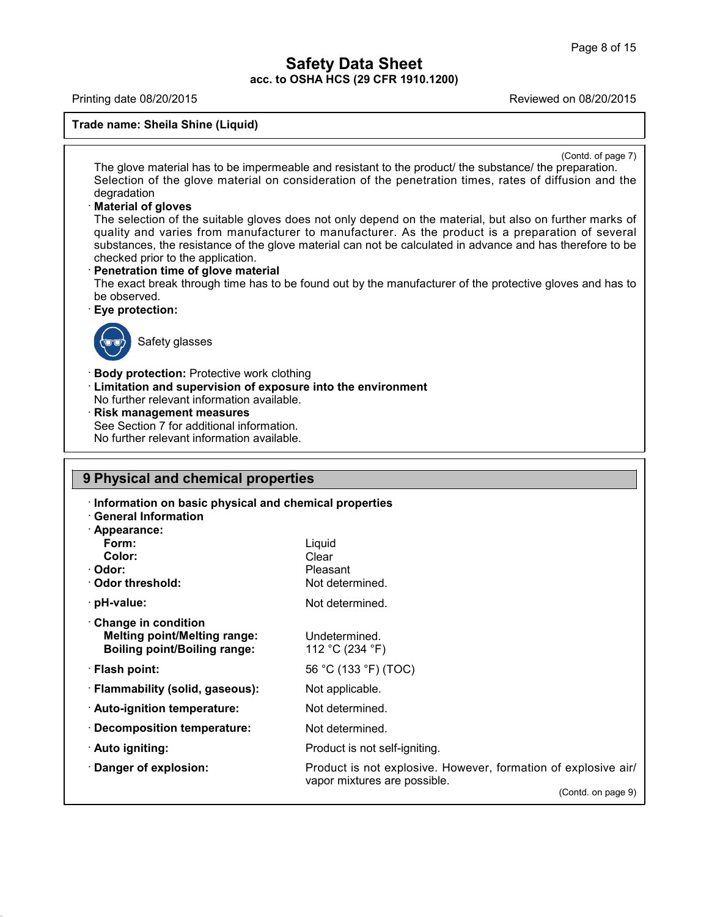Printing date 08/20/2015 Reviewed on 08/20/2015

**Trade name: Sheila Shine (Liquid)**

(Contd. of page 7)

The glove material has to be impermeable and resistant to the product/ the substance/ the preparation. Selection of the glove material on consideration of the penetration times, rates of diffusion and the degradation

### · **Material of gloves**

The selection of the suitable gloves does not only depend on the material, but also on further marks of quality and varies from manufacturer to manufacturer. As the product is a preparation of several substances, the resistance of the glove material can not be calculated in advance and has therefore to be checked prior to the application.

### · **Penetration time of glove material**

The exact break through time has to be found out by the manufacturer of the protective gloves and has to be observed.

· **Eye protection:**



41.1.0

Safety glasses

· **Body protection:** Protective work clothing

- · **Limitation and supervision of exposure into the environment**
- No further relevant information available.
- · **Risk management measures**

See Section 7 for additional information.

No further relevant information available.

# **9 Physical and chemical properties**

| Information on basic physical and chemical properties<br><b>General Information</b>                      |                                                                                                |
|----------------------------------------------------------------------------------------------------------|------------------------------------------------------------------------------------------------|
| · Appearance:                                                                                            |                                                                                                |
| Form:                                                                                                    | Liquid                                                                                         |
| Color:                                                                                                   | Clear                                                                                          |
| · Odor:                                                                                                  | Pleasant                                                                                       |
| Odor threshold:                                                                                          | Not determined.                                                                                |
| $\cdot$ pH-value:                                                                                        | Not determined.                                                                                |
| <b>Change in condition</b><br><b>Melting point/Melting range:</b><br><b>Boiling point/Boiling range:</b> | Undetermined.<br>112 °C (234 °F)                                                               |
| · Flash point:                                                                                           | 56 °C (133 °F) (TOC)                                                                           |
| · Flammability (solid, gaseous):                                                                         | Not applicable.                                                                                |
| · Auto-ignition temperature:                                                                             | Not determined.                                                                                |
| $\cdot$ Decomposition temperature:                                                                       | Not determined.                                                                                |
| · Auto igniting:                                                                                         | Product is not self-igniting.                                                                  |
| Danger of explosion:                                                                                     | Product is not explosive. However, formation of explosive air/<br>vapor mixtures are possible. |
|                                                                                                          | (Contd. on page 9)                                                                             |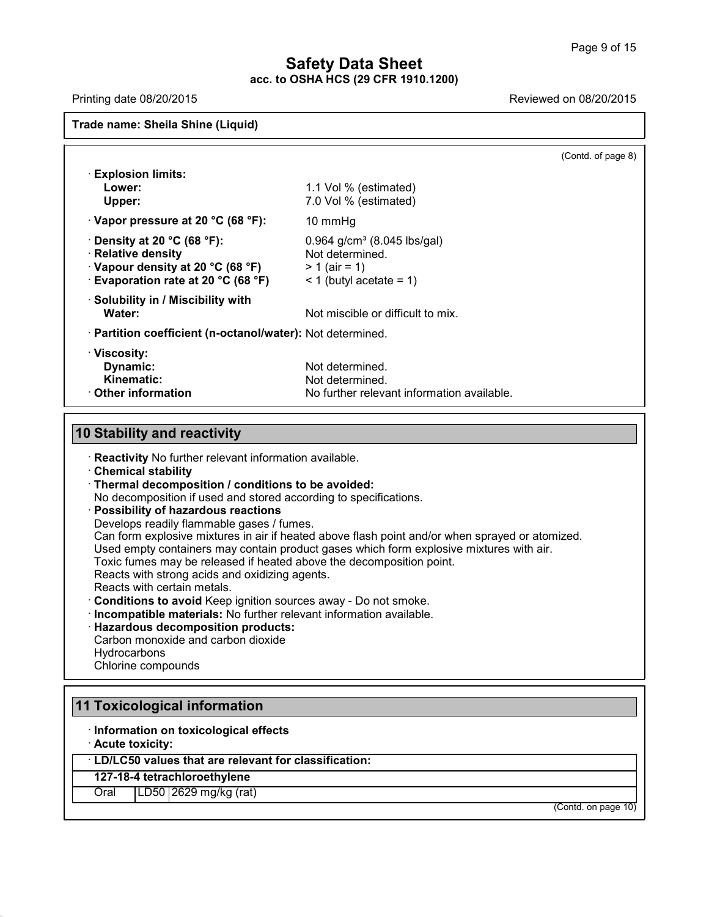Printing date 08/20/2015 Reviewed on 08/20/2015

**Trade name: Sheila Shine (Liquid)**

|                                                            |                                            | (Contd. of page 8) |
|------------------------------------------------------------|--------------------------------------------|--------------------|
| $\cdot$ Explosion limits:                                  |                                            |                    |
| Lower:                                                     | 1.1 Vol % (estimated)                      |                    |
| Upper:                                                     | 7.0 Vol % (estimated)                      |                    |
| $\cdot$ Vapor pressure at 20 °C (68 °F):                   | 10 mmHq                                    |                    |
| $\cdot$ Density at 20 °C (68 °F):                          | $0.964$ g/cm <sup>3</sup> (8.045 lbs/gal)  |                    |
| · Relative density                                         | Not determined.                            |                    |
| $\cdot$ Vapour density at 20 °C (68 °F)                    | $> 1$ (air = 1)                            |                    |
| $\cdot$ Evaporation rate at 20 °C (68 °F)                  | $\leq$ 1 (butyl acetate = 1)               |                    |
| · Solubility in / Miscibility with                         |                                            |                    |
| Water:                                                     | Not miscible or difficult to mix.          |                    |
| · Partition coefficient (n-octanol/water): Not determined. |                                            |                    |
| · Viscosity:                                               |                                            |                    |
| Dynamic:                                                   | Not determined.                            |                    |
| Kinematic:                                                 | Not determined.                            |                    |
| $\cdot$ Other information                                  | No further relevant information available. |                    |

# **10 Stability and reactivity**

· **Reactivity** No further relevant information available.

- · **Chemical stability**
- · **Thermal decomposition / conditions to be avoided:**

No decomposition if used and stored according to specifications.

### · **Possibility of hazardous reactions**

Develops readily flammable gases / fumes. Can form explosive mixtures in air if heated above flash point and/or when sprayed or atomized. Used empty containers may contain product gases which form explosive mixtures with air. Toxic fumes may be released if heated above the decomposition point. Reacts with strong acids and oxidizing agents. Reacts with certain metals. · **Conditions to avoid** Keep ignition sources away - Do not smoke. · **Incompatible materials:** No further relevant information available. · **Hazardous decomposition products:** Carbon monoxide and carbon dioxide **Hydrocarbons** 

Chlorine compounds

# **11 Toxicological information**

· **Information on toxicological effects**

· **Acute toxicity:**

41.1.0

· **LD/LC50 values that are relevant for classification:**

### **127-18-4 tetrachloroethylene**

Oral LD50 2629 mg/kg (rat)

(Contd. on page 10)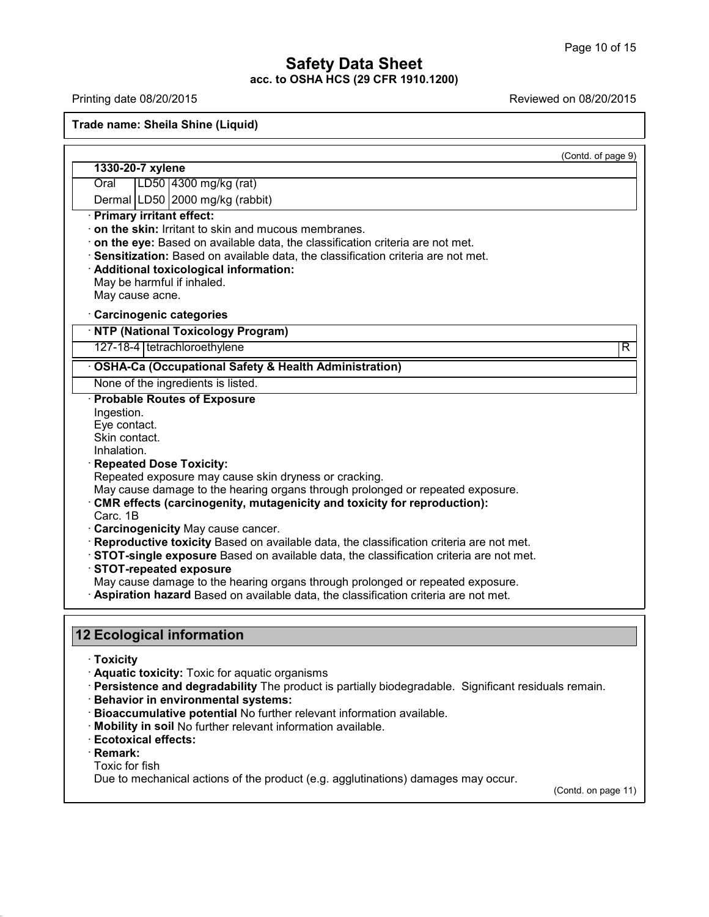41.1.0

Printing date 08/20/2015 Printing date 08/20/2015

**Trade name: Sheila Shine (Liquid)**

| 1330-20-7 xylene<br>LD50 4300 mg/kg (rat)<br>Oral<br>Dermal LD50 2000 mg/kg (rabbit)<br><b>Primary irritant effect:</b><br>on the skin: Irritant to skin and mucous membranes.<br>on the eye: Based on available data, the classification criteria are not met.<br>Sensitization: Based on available data, the classification criteria are not met.<br>· Additional toxicological information:<br>May be harmful if inhaled.<br>May cause acne.<br>Carcinogenic categories | (Contd. of page 9)  |
|----------------------------------------------------------------------------------------------------------------------------------------------------------------------------------------------------------------------------------------------------------------------------------------------------------------------------------------------------------------------------------------------------------------------------------------------------------------------------|---------------------|
|                                                                                                                                                                                                                                                                                                                                                                                                                                                                            |                     |
|                                                                                                                                                                                                                                                                                                                                                                                                                                                                            |                     |
|                                                                                                                                                                                                                                                                                                                                                                                                                                                                            |                     |
|                                                                                                                                                                                                                                                                                                                                                                                                                                                                            |                     |
|                                                                                                                                                                                                                                                                                                                                                                                                                                                                            |                     |
|                                                                                                                                                                                                                                                                                                                                                                                                                                                                            |                     |
|                                                                                                                                                                                                                                                                                                                                                                                                                                                                            |                     |
|                                                                                                                                                                                                                                                                                                                                                                                                                                                                            |                     |
|                                                                                                                                                                                                                                                                                                                                                                                                                                                                            |                     |
|                                                                                                                                                                                                                                                                                                                                                                                                                                                                            |                     |
|                                                                                                                                                                                                                                                                                                                                                                                                                                                                            |                     |
| · NTP (National Toxicology Program)                                                                                                                                                                                                                                                                                                                                                                                                                                        |                     |
| 127-18-4   tetrachloroethylene                                                                                                                                                                                                                                                                                                                                                                                                                                             | R                   |
| · OSHA-Ca (Occupational Safety & Health Administration)                                                                                                                                                                                                                                                                                                                                                                                                                    |                     |
| None of the ingredients is listed.                                                                                                                                                                                                                                                                                                                                                                                                                                         |                     |
| · Probable Routes of Exposure                                                                                                                                                                                                                                                                                                                                                                                                                                              |                     |
| Ingestion.                                                                                                                                                                                                                                                                                                                                                                                                                                                                 |                     |
| Eye contact.                                                                                                                                                                                                                                                                                                                                                                                                                                                               |                     |
| Skin contact.<br>Inhalation.                                                                                                                                                                                                                                                                                                                                                                                                                                               |                     |
| <b>Repeated Dose Toxicity:</b>                                                                                                                                                                                                                                                                                                                                                                                                                                             |                     |
| Repeated exposure may cause skin dryness or cracking.                                                                                                                                                                                                                                                                                                                                                                                                                      |                     |
| May cause damage to the hearing organs through prolonged or repeated exposure.                                                                                                                                                                                                                                                                                                                                                                                             |                     |
| CMR effects (carcinogenity, mutagenicity and toxicity for reproduction):                                                                                                                                                                                                                                                                                                                                                                                                   |                     |
| Carc. 1B                                                                                                                                                                                                                                                                                                                                                                                                                                                                   |                     |
| Carcinogenicity May cause cancer.                                                                                                                                                                                                                                                                                                                                                                                                                                          |                     |
| · Reproductive toxicity Based on available data, the classification criteria are not met.                                                                                                                                                                                                                                                                                                                                                                                  |                     |
| STOT-single exposure Based on available data, the classification criteria are not met.                                                                                                                                                                                                                                                                                                                                                                                     |                     |
| · STOT-repeated exposure<br>May cause damage to the hearing organs through prolonged or repeated exposure.                                                                                                                                                                                                                                                                                                                                                                 |                     |
| · Aspiration hazard Based on available data, the classification criteria are not met.                                                                                                                                                                                                                                                                                                                                                                                      |                     |
|                                                                                                                                                                                                                                                                                                                                                                                                                                                                            |                     |
|                                                                                                                                                                                                                                                                                                                                                                                                                                                                            |                     |
| <b>12 Ecological information</b>                                                                                                                                                                                                                                                                                                                                                                                                                                           |                     |
| <b>Toxicity</b>                                                                                                                                                                                                                                                                                                                                                                                                                                                            |                     |
| Aquatic toxicity: Toxic for aquatic organisms                                                                                                                                                                                                                                                                                                                                                                                                                              |                     |
| · Persistence and degradability The product is partially biodegradable. Significant residuals remain.                                                                                                                                                                                                                                                                                                                                                                      |                     |
| · Behavior in environmental systems:                                                                                                                                                                                                                                                                                                                                                                                                                                       |                     |
| · Bioaccumulative potential No further relevant information available.                                                                                                                                                                                                                                                                                                                                                                                                     |                     |
| · Mobility in soil No further relevant information available.                                                                                                                                                                                                                                                                                                                                                                                                              |                     |
| <b>Ecotoxical effects:</b>                                                                                                                                                                                                                                                                                                                                                                                                                                                 |                     |
| $\cdot$ Remark:                                                                                                                                                                                                                                                                                                                                                                                                                                                            |                     |
| Toxic for fish<br>Due to mechanical actions of the product (e.g. agglutinations) damages may occur.                                                                                                                                                                                                                                                                                                                                                                        |                     |
|                                                                                                                                                                                                                                                                                                                                                                                                                                                                            | (Contd. on page 11) |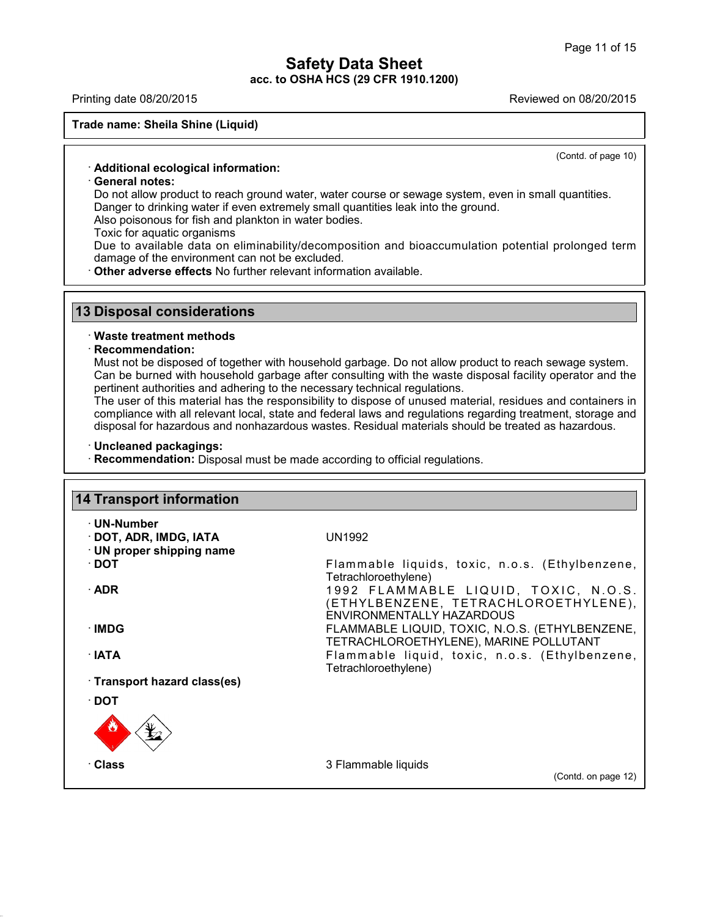Printing date 08/20/2015 Reviewed on 08/20/2015

### **Trade name: Sheila Shine (Liquid)**

(Contd. of page 10)

### · **Additional ecological information:**

### · **General notes:**

Do not allow product to reach ground water, water course or sewage system, even in small quantities. Danger to drinking water if even extremely small quantities leak into the ground.

Also poisonous for fish and plankton in water bodies.

Toxic for aquatic organisms

Due to available data on eliminability/decomposition and bioaccumulation potential prolonged term damage of the environment can not be excluded.

· **Other adverse effects** No further relevant information available.

# **13 Disposal considerations**

### · **Waste treatment methods**

### · **Recommendation:**

Must not be disposed of together with household garbage. Do not allow product to reach sewage system. Can be burned with household garbage after consulting with the waste disposal facility operator and the pertinent authorities and adhering to the necessary technical regulations.

The user of this material has the responsibility to dispose of unused material, residues and containers in compliance with all relevant local, state and federal laws and regulations regarding treatment, storage and disposal for hazardous and nonhazardous wastes. Residual materials should be treated as hazardous.

### · **Uncleaned packagings:**

41.1.0

· **Recommendation:** Disposal must be made according to official regulations.

| · UN-Number                     |                                                                                                           |
|---------------------------------|-----------------------------------------------------------------------------------------------------------|
| · DOT, ADR, IMDG, IATA          | UN1992                                                                                                    |
| $\cdot$ UN proper shipping name |                                                                                                           |
| ∙ DOT                           | Flammable liquids, toxic, n.o.s. (Ethylbenzene,<br>Tetrachloroethylene)                                   |
| $\cdot$ ADR                     | 1992 FLAMMABLE LIQUID, TOXIC, N.O.S.<br>(ETHYLBENZENE, TETRACHLOROETHYLENE),<br>ENVIRONMENTALLY HAZARDOUS |
| ∙IMDG                           | FLAMMABLE LIQUID, TOXIC, N.O.S. (ETHYLBENZENE,<br>TETRACHLOROETHYLENE), MARINE POLLUTANT                  |
| $\cdot$ IATA                    | Flammable liquid, toxic, n.o.s. (Ethylbenzene,<br>Tetrachloroethylene)                                    |
| · Transport hazard class(es)    |                                                                                                           |
| ∙ DOT                           |                                                                                                           |
|                                 |                                                                                                           |
| · Class                         | 3 Flammable liquids                                                                                       |
|                                 | (Contd. on page 12)                                                                                       |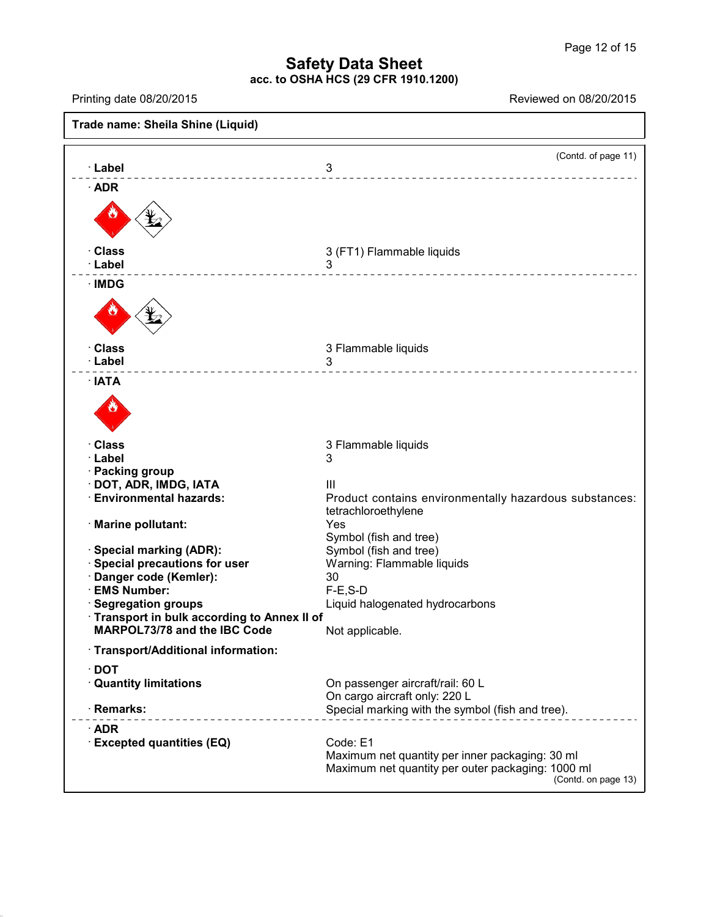Printing date 08/20/2015 Reviewed on 08/20/2015 **Trade name: Sheila Shine (Liquid)** (Contd. of page 11) · **Label** 3 \_\_\_\_\_\_\_\_\_\_\_\_\_\_\_\_\_\_\_\_\_\_\_\_\_\_\_\_\_ · **ADR** · **Class** 3 (FT1) Flammable liquids · **Label** 3 ----------------------· **IMDG** · **Class** 3 Flammable liquids · **Label** 3 -------------------------------· **IATA** · **Class** 3 Flammable liquids · **Label** 3 · **Packing group · DOT, ADR, IMDG, IATA** III<br>· **Environmental hazards:** Pr **Product contains environmentally hazardous substances:** tetrachloroethylene · **Marine pollutant:** Yes Symbol (fish and tree) · **Special marking (ADR):** Symbol (fish and tree)  $\cdot$  Special precautions for user · **Danger code (Kemler):** 30 · **EMS Number:** F-E,S-D Liquid halogenated hydrocarbons · **Transport in bulk according to Annex II of MARPOL73/78** and the IBC Code Not applicable. · **Transport/Additional information:** · **DOT** On passenger aircraft/rail: 60 L On cargo aircraft only: 220 L **Remarks:** Special marking with the symbol (fish and tree). · **ADR** · **Excepted quantities (EQ)** Code: E1 Maximum net quantity per inner packaging: 30 ml Maximum net quantity per outer packaging: 1000 ml (Contd. on page 13)

41.1.0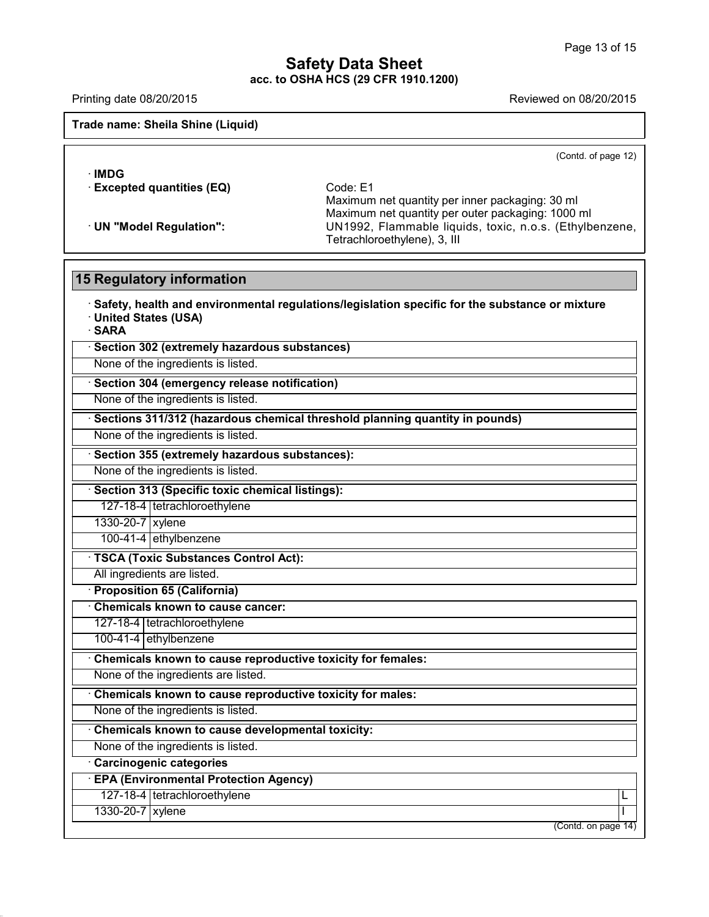Printing date 08/20/2015 **Reviewed on 08/20/2015** 

**Trade name: Sheila Shine (Liquid)**

(Contd. of page 12)

· **IMDG** · **Excepted quantities (EQ)** Code: E1

Maximum net quantity per inner packaging: 30 ml Maximum net quantity per outer packaging: 1000 ml · **UN "Model Regulation":** UN1992, Flammable liquids, toxic, n.o.s. (Ethylbenzene, Tetrachloroethylene), 3, III

# **15 Regulatory information**

41.1.0

| · United States (USA)<br>· SARA        | · Safety, health and environmental regulations/legislation specific for the substance or mixture |
|----------------------------------------|--------------------------------------------------------------------------------------------------|
|                                        | · Section 302 (extremely hazardous substances)                                                   |
| None of the ingredients is listed.     |                                                                                                  |
|                                        | · Section 304 (emergency release notification)                                                   |
| None of the ingredients is listed.     |                                                                                                  |
|                                        | · Sections 311/312 (hazardous chemical threshold planning quantity in pounds)                    |
| None of the ingredients is listed.     |                                                                                                  |
|                                        | · Section 355 (extremely hazardous substances):                                                  |
| None of the ingredients is listed.     |                                                                                                  |
|                                        | · Section 313 (Specific toxic chemical listings):                                                |
| 127-18-4 tetrachloroethylene           |                                                                                                  |
| 1330-20-7 xylene                       |                                                                                                  |
| 100-41-4 ethylbenzene                  |                                                                                                  |
| · TSCA (Toxic Substances Control Act): |                                                                                                  |
| All ingredients are listed.            |                                                                                                  |
| · Proposition 65 (California)          |                                                                                                  |
| Chemicals known to cause cancer:       |                                                                                                  |
| 127-18-4   tetrachloroethylene         |                                                                                                  |
| 100-41-4 ethylbenzene                  |                                                                                                  |
|                                        | Chemicals known to cause reproductive toxicity for females:                                      |
| None of the ingredients are listed.    |                                                                                                  |
|                                        | Chemicals known to cause reproductive toxicity for males:                                        |
| None of the ingredients is listed.     |                                                                                                  |
|                                        | Chemicals known to cause developmental toxicity:                                                 |
| None of the ingredients is listed.     |                                                                                                  |
| Carcinogenic categories                |                                                                                                  |
|                                        | <b>EPA (Environmental Protection Agency)</b>                                                     |
| 127-18-4   tetrachloroethylene         | L                                                                                                |
| 1330-20-7 xylene                       |                                                                                                  |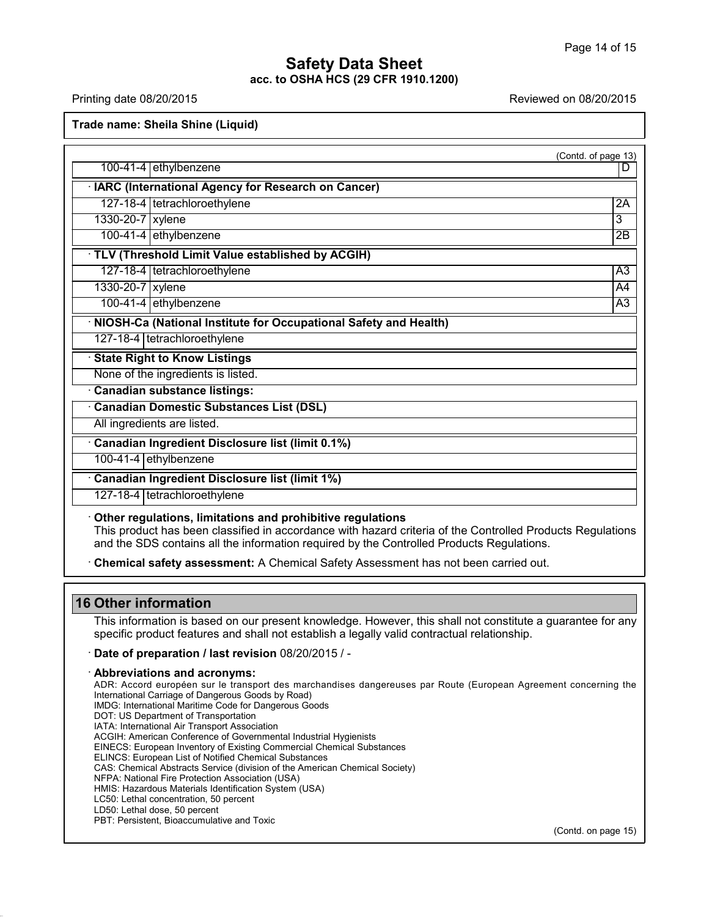Printing date 08/20/2015 Reviewed on 08/20/2015

**Trade name: Sheila Shine (Liquid)**

|                  | $100-41-4$ ethylbenzene                                          | (Contd. of page 13) |
|------------------|------------------------------------------------------------------|---------------------|
|                  | IARC (International Agency for Research on Cancer)               |                     |
|                  | 127-18-4   tetrachloroethylene                                   | 2A                  |
| 1330-20-7 xylene |                                                                  | 3                   |
|                  | 100-41-4 ethylbenzene                                            | $\overline{2B}$     |
|                  | TLV (Threshold Limit Value established by ACGIH)                 |                     |
|                  | 127-18-4   tetrachloroethylene                                   | $\overline{A3}$     |
| 1330-20-7 xylene |                                                                  | A4                  |
|                  | 100-41-4 ethylbenzene                                            | A <sub>3</sub>      |
|                  | NIOSH-Ca (National Institute for Occupational Safety and Health) |                     |
|                  | 127-18-4   tetrachloroethylene                                   |                     |
|                  | <b>State Right to Know Listings</b>                              |                     |
|                  | None of the ingredients is listed.                               |                     |
|                  | <b>Canadian substance listings:</b>                              |                     |
|                  | <b>Canadian Domestic Substances List (DSL)</b>                   |                     |
|                  | All ingredients are listed.                                      |                     |
|                  | Canadian Ingredient Disclosure list (limit 0.1%)                 |                     |
|                  | 100-41-4 ethylbenzene                                            |                     |
|                  | <b>Canadian Ingredient Disclosure list (limit 1%)</b>            |                     |
|                  | 127-18-4   tetrachloroethylene                                   |                     |

This product has been classified in accordance with hazard criteria of the Controlled Products Regulations and the SDS contains all the information required by the Controlled Products Regulations.

· **Chemical safety assessment:** A Chemical Safety Assessment has not been carried out.

# **16 Other information**

41.1.0

This information is based on our present knowledge. However, this shall not constitute a guarantee for any specific product features and shall not establish a legally valid contractual relationship.

· **Date of preparation / last revision** 08/20/2015 / -

### · **Abbreviations and acronyms:**

ADR: Accord européen sur le transport des marchandises dangereuses par Route (European Agreement concerning the International Carriage of Dangerous Goods by Road) IMDG: International Maritime Code for Dangerous Goods DOT: US Department of Transportation IATA: International Air Transport Association ACGIH: American Conference of Governmental Industrial Hygienists EINECS: European Inventory of Existing Commercial Chemical Substances ELINCS: European List of Notified Chemical Substances CAS: Chemical Abstracts Service (division of the American Chemical Society) NFPA: National Fire Protection Association (USA) HMIS: Hazardous Materials Identification System (USA) LC50: Lethal concentration, 50 percent LD50: Lethal dose, 50 percent PBT: Persistent, Bioaccumulative and Toxic (Contd. on page 15)